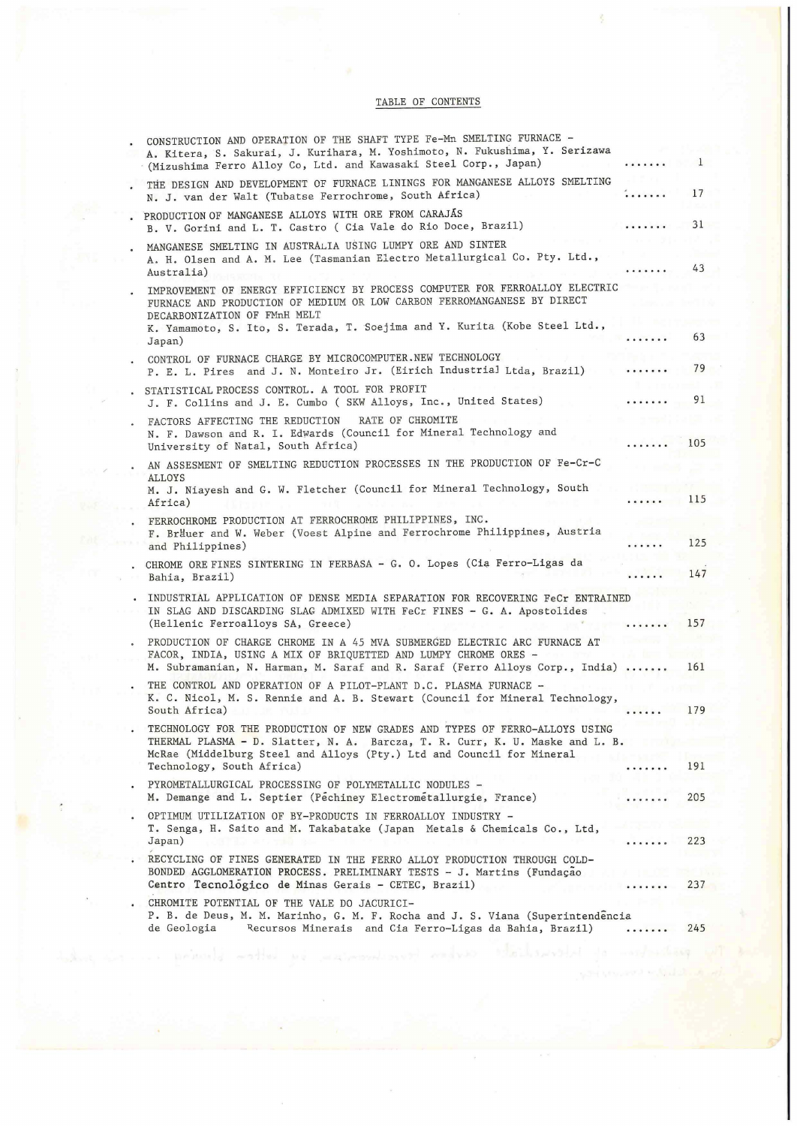## TABLE OF CONTENTS

|  | CONSTRUCTION AND OPERATION OF THE SHAFT TYPE Fe-Mn SMELTING FURNACE -<br>A. Kitera, S. Sakurai, J. Kurihara, M. Yoshimoto, N. Fukushima, Y. Serizawa<br>(Mizushima Ferro Alloy Co, Ltd. and Kawasaki Steel Corp., Japan) |   | $\mathbf{1}$ |
|--|--------------------------------------------------------------------------------------------------------------------------------------------------------------------------------------------------------------------------|---|--------------|
|  | THE DESIGN AND DEVELOPMENT OF FURNACE LININGS FOR MANGANESE ALLOYS SMELTING<br>N. J. van der Walt (Tubatse Ferrochrome, South Africa)                                                                                    | . | 17           |
|  | PRODUCTION OF MANGANESE ALLOYS WITH ORE FROM CARAJAS<br>B. V. Gorini and L. T. Castro ( Cia Vale do Rio Doce, Brazil)                                                                                                    | . | 31           |
|  | MANGANESE SMELTING IN AUSTRALIA USING LUMPY ORE AND SINTER<br>A. H. Olsen and A. M. Lee (Tasmanian Electro Metallurgical Co. Pty. Ltd.,<br>Australia)                                                                    |   | 43           |
|  | IMPROVEMENT OF ENERGY EFFICIENCY BY PROCESS COMPUTER FOR FERROALLOY ELECTRIC<br>FURNACE AND PRODUCTION OF MEDIUM OR LOW CARBON FERROMANGANESE BY DIRECT<br>DECARBONIZATION OF FMnH MELT                                  |   |              |
|  | K. Yamamoto, S. Ito, S. Terada, T. Soejima and Y. Kurita (Kobe Steel Ltd.,<br>Japan)                                                                                                                                     |   | 63           |
|  | CONTROL OF FURNACE CHARGE BY MICROCOMPUTER.NEW TECHNOLOGY<br>P. E. L. Pires and J. N. Monteiro Jr. (Eirich Industrial Ltda, Brazil)                                                                                      | . | 79           |
|  | STATISTICAL PROCESS CONTROL. A TOOL FOR PROFIT<br>J. F. Collins and J. E. Cumbo ( SKW Alloys, Inc., United States)                                                                                                       | . | 91           |
|  | RATE OF CHROMITE<br>FACTORS AFFECTING THE REDUCTION<br>N. F. Dawson and R. I. Edwards (Council for Mineral Technology and<br>University of Natal, South Africa)                                                          | . | 105          |
|  | AN ASSESMENT OF SMELTING REDUCTION PROCESSES IN THE PRODUCTION OF Fe-Cr-C<br><b>ALLOYS</b>                                                                                                                               |   |              |
|  | M. J. Niayesh and G. W. Fletcher (Council for Mineral Technology, South<br>Africa)                                                                                                                                       |   | 115          |
|  | FERROCHROME PRODUCTION AT FERROCHROME PHILIPPINES, INC.<br>F. Bräuer and W. Weber (Voest Alpine and Ferrochrome Philippines, Austria                                                                                     |   |              |
|  | and Philippines)<br>CHROME ORE FINES SINTERING IN FERBASA - G. O. Lopes (Cia Ferro-Ligas da                                                                                                                              |   | 125          |
|  | Bahia, Brazil)                                                                                                                                                                                                           |   | 147          |
|  | INDUSTRIAL APPLICATION OF DENSE MEDIA SEPARATION FOR RECOVERING FeCr ENTRAINED<br>IN SLAG AND DISCARDING SLAG ADMIXED WITH FeCr FINES - G. A. Apostolides<br>(Hellenic Ferroalloys SA, Greece)                           |   | 157          |
|  | PRODUCTION OF CHARGE CHROME IN A 45 MVA SUBMERGED ELECTRIC ARC FURNACE AT                                                                                                                                                |   |              |
|  | FACOR, INDIA, USING A MIX OF BRIQUETTED AND LUMPY CHROME ORES -<br>M. Subramanian, N. Harman, M. Saraf and R. Saraf (Ferro Alloys Corp., India)                                                                          |   | 161          |
|  | THE CONTROL AND OPERATION OF A PILOT-PLANT D.C. PLASMA FURNACE -<br>K. C. Nicol, M. S. Rennie and A. B. Stewart (Council for Mineral Technology,<br>South Africa)                                                        | . | 179          |
|  | TECHNOLOGY FOR THE PRODUCTION OF NEW GRADES AND TYPES OF FERRO-ALLOYS USING                                                                                                                                              |   |              |
|  | THERMAL PLASMA - D. Slatter, N. A. Barcza, T. R. Curr, K. U. Maske and L. B.<br>McRae (Middelburg Steel and Alloys (Pty.) Ltd and Council for Mineral<br>Technology, South Africa)                                       |   | 191          |
|  | PYROMETALLURGICAL PROCESSING OF POLYMETALLIC NODULES -                                                                                                                                                                   |   |              |
|  | M. Demange and L. Septier (Pechiney Electrometallurgie, France)                                                                                                                                                          |   | 205          |
|  | OPTIMUM UTILIZATION OF BY-PRODUCTS IN FERROALLOY INDUSTRY -<br>T. Senga, H. Saito and M. Takabatake (Japan Metals & Chemicals Co., Ltd,                                                                                  |   |              |
|  | Japan)                                                                                                                                                                                                                   |   | 223          |
|  | RECYCLING OF FINES GENERATED IN THE FERRO ALLOY PRODUCTION THROUGH COLD-<br>BONDED AGGLOMERATION PROCESS. PRELIMINARY TESTS - J. Martins (Fundação                                                                       |   |              |
|  | Centro Tecnologico de Minas Gerais - CETEC, Brazil)                                                                                                                                                                      |   | 237          |
|  | CHROMITE POTENTIAL OF THE VALE DO JACURICI-                                                                                                                                                                              |   |              |
|  | P. B. de Deus, M. M. Marinho, G. M. F. Rocha and J. S. Viana (Superintendencia<br>de Geologia<br>Recursos Minerais and Cia Ferro-Ligas da Bahia, Brazil)                                                                 |   | 245          |

 $\sim 10^{-1}$ 

 $\ddot{\phantom{0}}$ 

 $\lambda$